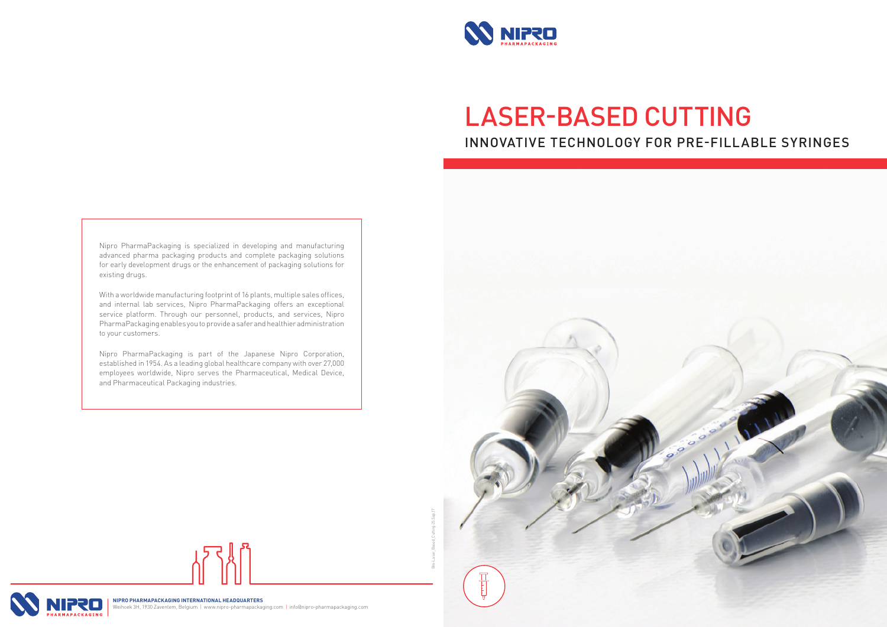

# LASER-BASED CUTTING INNOVATIVE TECHNOLOGY FOR PRE-FILLABLE SYRINGES

Nipro PharmaPackaging is specialized in developing and manufacturing advanced pharma packaging products and complete packaging solutions for early development drugs or the enhancement of packaging solutions for existing drugs.

With a worldwide manufacturing footprint of 16 plants, multiple sales offices, and internal lab services, Nipro PharmaPackaging offers an exceptional service platform. Through our personnel, products, and services, Nipro PharmaPackaging enables you to provide a safer and healthier administration to your customers.

Nipro PharmaPackaging is part of the Japanese Nipro Corporation, established in 1954. As a leading global healthcare company with over 27,000 employees worldwide, Nipro serves the Pharmaceutical, Medical Device, and Pharmaceutical Packaging industries.